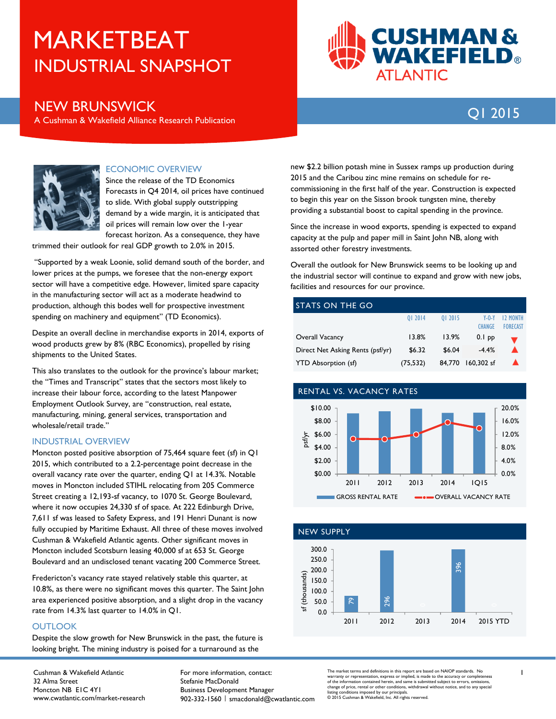# INDUSTRIAL SNAPSHOT MARKETBEAT



Q1 <sup>2015</sup> NEW BRUNSWICK A Cushman & Wakefield Alliance Research Publication

12 MONTH FORECAST



## ECONOMIC OVERVIEW

Since the release of the TD Economics Forecasts in Q4 2014, oil prices have continued to slide. With global supply outstripping demand by a wide margin, it is anticipated that oil prices will remain low over the 1-year forecast horizon. As a consequence, they have

trimmed their outlook for real GDP growth to 2.0% in 2015.

 "Supported by a weak Loonie, solid demand south of the border, and lower prices at the pumps, we foresee that the non-energy export sector will have a competitive edge. However, limited spare capacity in the manufacturing sector will act as a moderate headwind to production, although this bodes well for prospective investment spending on machinery and equipment" (TD Economics).

Despite an overall decline in merchandise exports in 2014, exports of wood products grew by 8% (RBC Economics), propelled by rising shipments to the United States.

This also translates to the outlook for the province's labour market; the "Times and Transcript" states that the sectors most likely to increase their labour force, according to the latest Manpower Employment Outlook Survey, are "construction, real estate, manufacturing, mining, general services, transportation and wholesale/retail trade."

### INDUSTRIAL OVERVIEW

Moncton posted positive absorption of 75,464 square feet (sf) in Q1 2015, which contributed to a 2.2-percentage point decrease in the overall vacancy rate over the quarter, ending Q1 at 14.3%. Notable moves in Moncton included STIHL relocating from 205 Commerce Street creating a 12,193-sf vacancy, to 1070 St. George Boulevard, where it now occupies 24,330 sf of space. At 222 Edinburgh Drive, 7,611 sf was leased to Safety Express, and 191 Henri Dunant is now fully occupied by Maritime Exhaust. All three of these moves involved Cushman & Wakefield Atlantic agents. Other significant moves in Moncton included Scotsburn leasing 40,000 sf at 653 St. George Boulevard and an undisclosed tenant vacating 200 Commerce Street.

Fredericton's vacancy rate stayed relatively stable this quarter, at 10.8%, as there were no significant moves this quarter. The Saint John area experienced positive absorption, and a slight drop in the vacancy rate from 14.3% last quarter to 14.0% in Q1.

### **OUTLOOK**

Despite the slow growth for New Brunswick in the past, the future is looking bright. The mining industry is poised for a turnaround as the

Cushman & Wakefield Atlantic 32 Alma Street Moncton NB E1C 4Y1 www.cwatlantic.com/market-research For more information, contact: Stefanie MacDonald Business Development Manager 902-332-1560 | smacdonald@cwatlantic.com

new \$2.2 billion potash mine in Sussex ramps up production during 2015 and the Caribou zinc mine remains on schedule for recommissioning in the first half of the year. Construction is expected to begin this year on the Sisson brook tungsten mine, thereby providing a substantial boost to capital spending in the province.

Since the increase in wood exports, spending is expected to expand capacity at the pulp and paper mill in Saint John NB, along with assorted other forestry investments.

Overall the outlook for New Brunswick seems to be looking up and the industrial sector will continue to expand and grow with new jobs, facilities and resources for our province.

# STATS ON THE GO Q1 2014 Q1 2015 Y-O-Y CHANGE Overall Vacancy 13.8% 13.9% 0.1 pp Direct Net Asking Rents (psf/yr) \$6.32 \$6.04 -4.4%

YTD Absorption (sf) (75,532) 84,770 160,302 sf







The market terms and definitions in this report are based on NAIOP standards. No warranty or representation, express or implied, is made to the accuracy or completeness of the information contained herein, and same is submitted subject to errors, omissions, change of price, rental or other conditions, withdrawal without notice, and to any special listing conditions imposed by our principals. © 2015 Cushman & Wakefield, Inc. All rights reserved.

1